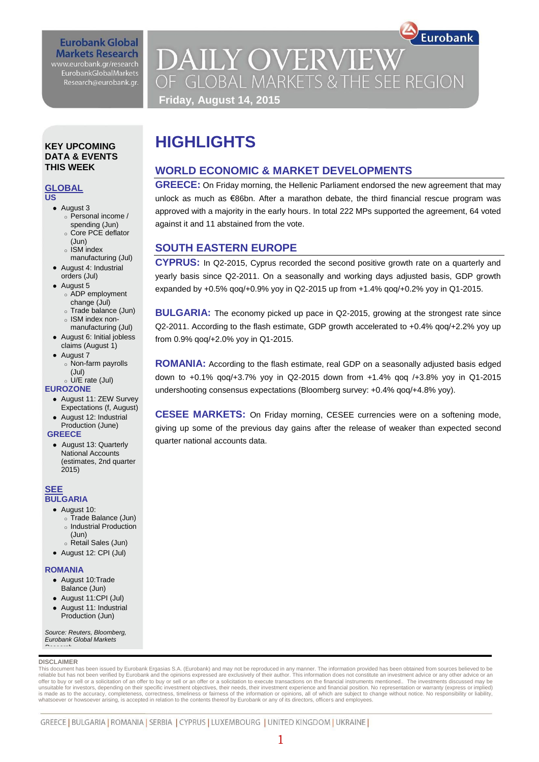### **Eurobank Global Markets Research** www.eurobank.gr/research EurobankGlobalMarkets

Research@eurobank.gr.

## **DAILY OVERVIEW** OF GLOBAL MARKETS & THE SEE REGION **Friday, August 14, 2015**

**WORLD ECONOMIC & MARKET DEVELOPMENTS**

**GREECE:** On Friday morning, the Hellenic Parliament endorsed the new agreement that may unlock as much as €86bn. After a marathon debate, the third financial rescue program was approved with a majority in the early hours. In total 222 MPs supported the agreement, 64 voted

Eurobank

**CYPRUS:** In Q2-2015, Cyprus recorded the second positive growth rate on a quarterly and yearly basis since Q2-2011. On a seasonally and working days adjusted basis, GDP growth expanded by +0.5% qoq/+0.9% yoy in Q2-2015 up from +1.4% qoq/+0.2% yoy in Q1-2015.

**BULGARIA:** The economy picked up pace in Q2-2015, growing at the strongest rate since Q2-2011. According to the flash estimate, GDP growth accelerated to +0.4% qoq/+2.2% yoy up

**ROMANIA:** According to the flash estimate, real GDP on a seasonally adjusted basis edged down to +0.1% qoq/+3.7% yoy in Q2-2015 down from +1.4% qoq /+3.8% yoy in Q1-2015

**CESEE MARKETS:** On Friday morning, CESEE currencies were on a softening mode, giving up some of the previous day gains after the release of weaker than expected second

undershooting consensus expectations (Bloomberg survey: +0.4% qoq/+4.8% yoy).

**HIGHLIGHTS**

against it and 11 abstained from the vote.

**SOUTH EASTERN EUROPE**

from 0.9% qoq/+2.0% yoy in Q1-2015.

quarter national accounts data.

### **KEY UPCOMING DATA & EVENTS THIS WEEK**

### **GLOBAL**

**US** 

- August 3
	- o Personal income / spending (Jun)
	- o Core PCE deflator
	- (Jun)
	- o ISM index
- manufacturing (Jul) August 4: Industrial
- orders (Jul) • August 5
	- o ADP employment change (Jul)
	- o Trade balance (Jun) o ISM index non-
- manufacturing (Jul) August 6: Initial jobless
- claims (August 1) • August 7
	- o Non-farm payrolls

#### (Jul) o U/E rate (Jul)

**EUROZONE**

- August 11: ZEW Survey Expectations (f, August)
- August 12: Industrial Production (June)

### **GREECE**

 August 13: Quarterly National Accounts (estimates, 2nd quarter 2015)

### **SEE BULGARIA**

- August 10:
	- o Trade Balance (Jun) o Industrial Production
	- (Jun)
- o Retail Sales (Jun) August 12: CPI (Jul)

### **ROMANIA**

- August 10:Trade
- Balance (Jun)
- August 11:CPI (Jul)
- August 11: Industrial Production (Jun)

*Source: Reuters, Bloomberg, Eurobank Global Markets Research*

### **DISCLAIMER**

This document has been issued by Eurobank Ergasias S.A. (Eurobank) and may not be reproduced in any manner. The information provided has been obtained from sources believed to be<br>reliable but has not been verified by Eurob unsuitable for investors, depending on their specific investment objectives, their needs, their investment experience and financial position. No representation or warranty (express or implied)<br>is made as to the accuracy, c whatsoever or howsoever arising, is accepted in relation to the contents thereof by Eurobank or any of its directors, officers and employees.

### GREECE | BULGARIA | ROMANIA | SERBIA | CYPRUS | LUXEMBOURG | UNITED KINGDOM | UKRAINE |

### 1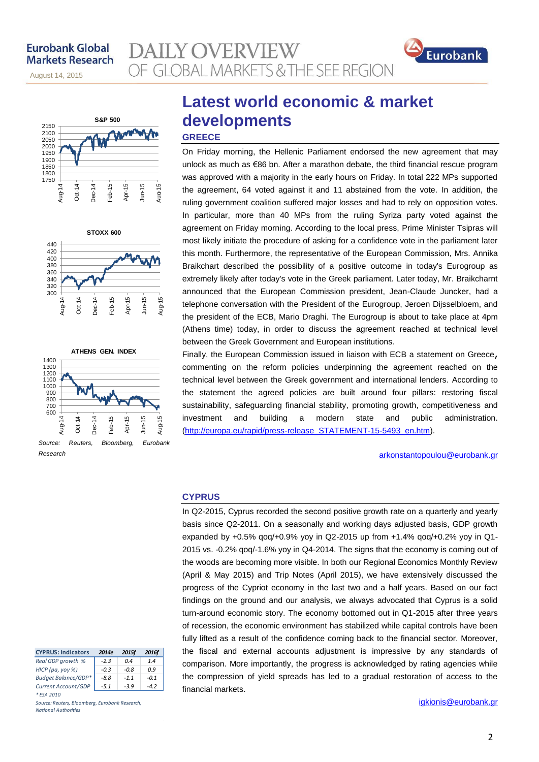november 14, 2013 August 14, 2015







*Research*

# **Latest world economic & market developments**

### **GREECE**

**AILY OVERVIEW** 

OF GLOBAL MARKETS & THE SEE REGION

On Friday morning, the Hellenic Parliament endorsed the new agreement that may unlock as much as €86 bn. After a marathon debate, the third financial rescue program was approved with a majority in the early hours on Friday. In total 222 MPs supported the agreement, 64 voted against it and 11 abstained from the vote. In addition, the ruling government coalition suffered major losses and had to rely on opposition votes. In particular, more than 40 MPs from the ruling Syriza party voted against the agreement on Friday morning. According to the local press, Prime Minister Tsipras will most likely initiate the procedure of asking for a confidence vote in the parliament later this month. Furthermore, the representative of the European Commission, Mrs. Annika Braikchart described the possibility of a positive outcome in today's Eurogroup as extremely likely after today's vote in the Greek parliament. Later today, Mr. Braikcharnt announced that the European Commission president, Jean-Claude Juncker, had a telephone conversation with the President of the Eurogroup, Jeroen Dijsselbloem, and the president of the ECB, Mario Draghi. The Eurogroup is about to take place at 4pm (Athens time) today, in order to discuss the agreement reached at technical level between the Greek Government and European institutions.

Finally, the European Commission issued in liaison with ECB a statement on Greece, commenting on the reform policies underpinning the agreement reached on the technical level between the Greek government and international lenders. According to the statement the agreed policies are built around four pillars: restoring fiscal sustainability, safeguarding financial stability, promoting growth, competitiveness and investment and building a modern state and public administration. [\(http://europa.eu/rapid/press-release\\_STATEMENT-15-5493\\_en.htm\)](http://europa.eu/rapid/press-release_STATEMENT-15-5493_en.htm).

### arkonstantopoulou@eurobank.gr

Eurobank

### **CYPRUS**

In Q2-2015, Cyprus recorded the second positive growth rate on a quarterly and yearly basis since Q2-2011. On a seasonally and working days adjusted basis, GDP growth expanded by +0.5% qoq/+0.9% yoy in Q2-2015 up from +1.4% qoq/+0.2% yoy in Q1- 2015 vs. -0.2% qoq/-1.6% yoy in Q4-2014. The signs that the economy is coming out of the woods are becoming more visible. In both our Regional Economics Monthly Review (April & May 2015) and Trip Notes (April 2015), we have extensively discussed the progress of the Cypriot economy in the last two and a half years. Based on our fact findings on the ground and our analysis, we always advocated that Cyprus is a solid turn-around economic story. The economy bottomed out in Q1-2015 after three years of recession, the economic environment has stabilized while capital controls have been fully lifted as a result of the confidence coming back to the financial sector. Moreover, the fiscal and external accounts adjustment is impressive by any standards of comparison. More importantly, the progress is acknowledged by rating agencies while the compression of yield spreads has led to a gradual restoration of access to the financial markets.

[igkionis@eurobank.gr](mailto:igkionis@eurobank.gr)

| <b>CYPRUS: Indicators</b> | 2014e  | 2015f  | 2016f  |
|---------------------------|--------|--------|--------|
| Real GDP growth %         | $-2.3$ | 0.4    | 1.4    |
| НІСР (ра, уоу %)          | $-0.3$ | $-0.8$ | 0.9    |
| Budget Balance/GDP*       | $-8.8$ | $-1.1$ | $-0.1$ |
| Current Account/GDP       | $-5.1$ | $-3.9$ | 4.2    |
| * ESA 2010                |        |        |        |

*Source: Reuters, Bloomberg, Eurobank Research, National Authorities*

### 2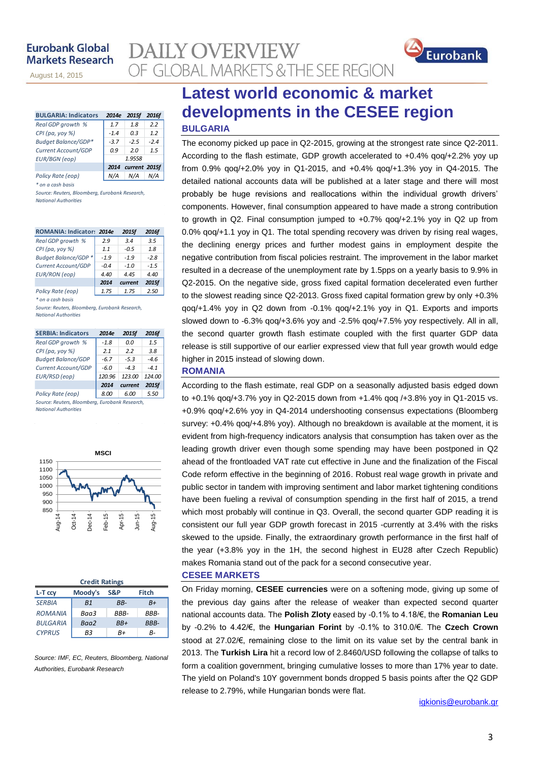november 14, 2013

August 14, 2015

| <b>BULGARIA: Indicators</b> | 2014e  | 2015f         | 2016f  |
|-----------------------------|--------|---------------|--------|
| Real GDP growth %           | 1.7    | 1.8           | 2.2    |
| CPI (pa, yoy %)             | $-1.4$ | 0.3           | 1.2    |
| Budget Balance/GDP*         | $-3.7$ | $-2.5$        | $-2.4$ |
| Current Account/GDP         | 0.9    | 20            | 1.5    |
| <b>EUR/BGN</b> (eop)        |        | 1.9558        |        |
|                             | 2014   | current 2015f |        |
| Policy Rate (eop)           |        | N/A           |        |

*\* on a cash basis*

*Source: Reuters, Bloomberg, Eurobank Research, National Authorities*

| ROMANIA: Indicator: 2014e   |        | 2015f   | 2016f  |
|-----------------------------|--------|---------|--------|
| Real GDP growth %           | 2.9    | 3.4     | 3.5    |
| CPI (pa, yoy %)             | 1.1    | $-0.5$  | 1.8    |
| <b>Budget Balance/GDP *</b> | $-1.9$ | $-1.9$  | $-2.8$ |
| Current Account/GDP         | $-0.4$ | $-1.0$  | $-1.5$ |
| <b>EUR/RON</b> (eop)        | 4.40   | 4.45    | 4.40   |
|                             | 2014   | current | 2015f  |
| Policy Rate (eop)           | 1.75   | 1.75    | 2.50   |

*\* on a cash basis*

*Source: Reuters, Bloomberg, Eurobank Research, National Authorities*

| <b>SERBIA: Indicators</b> | 2014e  | 2015f   | 2016f  |
|---------------------------|--------|---------|--------|
| Real GDP growth %         | $-1.8$ | 0.0     | 1.5    |
| CPI (pa, yoy %)           | 2.1    | 22      | 3.8    |
| <b>Budget Balance/GDP</b> | -67    | $-5.3$  | $-4.6$ |
| Current Account/GDP       | $-6.0$ | $-43$   | $-41$  |
| EUR/RSD (eop)             | 120.96 | 123.00  | 124.00 |
|                           | 2014   | current | 2015f  |
| Policy Rate (eop)         | 8.00   | 6.00    | 5.50   |

*Source: Reuters, Bloomberg, Eurobank Research, National Authorities*



| <b>Credit Ratings</b> |         |       |             |  |  |  |  |  |
|-----------------------|---------|-------|-------------|--|--|--|--|--|
| L-T ccv               | Moody's | S&P   | Fitch       |  |  |  |  |  |
| <b>SERBIA</b>         | B1      | BB-   | B+          |  |  |  |  |  |
| <b>ROMANIA</b>        | Baa3    | RRR-  | RRR-        |  |  |  |  |  |
| <b>BULGARIA</b>       | Baa2    | $BB+$ | <b>BBB-</b> |  |  |  |  |  |
| <b>CYPRUS</b>         | RЗ      | R+    | R-          |  |  |  |  |  |

*Source: IMF, EC, Reuters, Bloomberg, National Authorities, Eurobank Research*

### **Latest world economic & market developments in the CESEE region BULGARIA**

The economy picked up pace in Q2-2015, growing at the strongest rate since Q2-2011. According to the flash estimate, GDP growth accelerated to +0.4% qoq/+2.2% yoy up from 0.9% qoq/+2.0% yoy in Q1-2015, and +0.4% qoq/+1.3% yoy in Q4-2015. The detailed national accounts data will be published at a later stage and there will most probably be huge revisions and reallocations within the individual growth drivers' components. However, final consumption appeared to have made a strong contribution to growth in Q2. Final consumption jumped to +0.7% qoq/+2.1% yoy in Q2 up from 0.0% qoq/+1.1 yoy in Q1. The total spending recovery was driven by rising real wages, the declining energy prices and further modest gains in employment despite the negative contribution from fiscal policies restraint. The improvement in the labor market resulted in a decrease of the unemployment rate by 1.5pps on a yearly basis to 9.9% in Q2-2015. On the negative side, gross fixed capital formation decelerated even further to the slowest reading since Q2-2013. Gross fixed capital formation grew by only +0.3% qoq/+1.4% yoy in Q2 down from -0.1% qoq/+2.1% yoy in Q1. Exports and imports slowed down to -6.3% qoq/+3.6% yoy and -2.5% qoq/+7.5% yoy respectively. All in all, the second quarter growth flash estimate coupled with the first quarter GDP data release is still supportive of our earlier expressed view that full year growth would edge higher in 2015 instead of slowing down.

### **ROMANIA**

**DAILY OVERVIEW** 

OF GLOBAL MARKETS & THE SEE REGION

According to the flash estimate, real GDP on a seasonally adjusted basis edged down to +0.1% qoq/+3.7% yoy in Q2-2015 down from +1.4% qoq /+3.8% yoy in Q1-2015 vs. +0.9% qoq/+2.6% yoy in Q4-2014 undershooting consensus expectations (Bloomberg survey: +0.4% qoq/+4.8% yoy). Although no breakdown is available at the moment, it is evident from high-frequency indicators analysis that consumption has taken over as the leading growth driver even though some spending may have been postponed in Q2 ahead of the frontloaded VAT rate cut effective in June and the finalization of the Fiscal Code reform effective in the beginning of 2016. Robust real wage growth in private and public sector in tandem with improving sentiment and labor market tightening conditions have been fueling a revival of consumption spending in the first half of 2015, a trend which most probably will continue in Q3. Overall, the second quarter GDP reading it is consistent our full year GDP growth forecast in 2015 -currently at 3.4% with the risks skewed to the upside. Finally, the extraordinary growth performance in the first half of the year (+3.8% yoy in the 1H, the second highest in EU28 after Czech Republic) makes Romania stand out of the pack for a second consecutive year.

**CESEE MARKETS**

On Friday morning, **CESEE currencies** were on a softening mode, giving up some of the previous day gains after the release of weaker than expected second quarter national accounts data. The **Polish Zloty** eased by -0.1% to 4.18/€, the **Romanian Leu** by -0.2% to 4.42/€, the **Hungarian Forint** by -0.1% to 310.0/€. The **Czech Crown** stood at 27.02/€, remaining close to the limit on its value set by the central bank in 2013. The **Turkish Lira** hit a record low of 2.8460/USD following the collapse of talks to form a coalition government, bringing cumulative losses to more than 17% year to date. The yield on Poland's 10Y government bonds dropped 5 basis points after the Q2 GDP release to 2.79%, while Hungarian bonds were flat.

Eurobank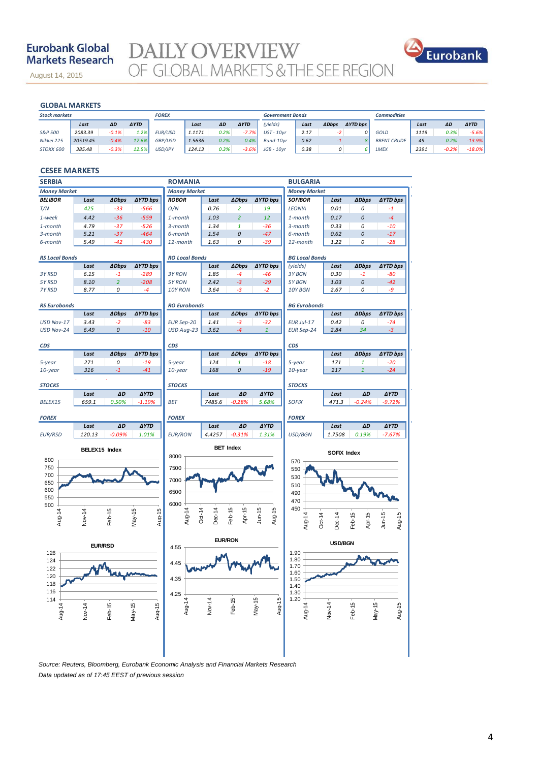### **Eurobank Global Markets Research**

August 14, 2015

DAILY OVERVIEW<br>OF GLOBAL MARKETS & THE SEE REGION



### **GLOBAL MARKETS**

november 14, 2013

| <b>GLOBAL MARKETS</b> |          |           |             |                |        |      |             |                         |      |              |                 |                    |      |         |             |
|-----------------------|----------|-----------|-------------|----------------|--------|------|-------------|-------------------------|------|--------------|-----------------|--------------------|------|---------|-------------|
| <b>Stock markets</b>  |          |           |             | <b>FOREX</b>   |        |      |             | <b>Government Bonds</b> |      |              |                 | <b>Commodities</b> |      |         |             |
|                       | Last     | <b>AD</b> | <b>AYTD</b> |                | Last   | ΔD   | <b>AYTD</b> | (yields)                | Last | <b>ADbps</b> | <b>AYTD</b> bps |                    | Last | ΔD      | <b>AYTD</b> |
| S&P 500               | 2083.39  | $-0.1%$   | 1.2%        | <b>EUR/USD</b> | 1.1171 | 0.2% | $-7.7%$     | $UST - 10vr$            | 2.17 | -21          | $\Omega$        | <b>GOLD</b>        | 1119 | 0.3%    | $-5.6%$     |
| Nikkei 225            | 20519.45 | $-0.4%$   | 17.6%       | GBP/USD        | 1.5636 | 0.2% | 0.4%        | Bund-10vr               | 0.62 | -1           |                 | <b>BRENT CRUDE</b> | 49   | 0.2%    | $-13.9%$    |
| STOXX 600             | 385.48   | $-0.3%$   | 12.5%       | <b>USD/JPY</b> | 124.13 | 0.3% | $-3.6%$     | $JGB - 10vr$            | 0.38 | 0            |                 | <b>LMEX</b>        | 2391 | $-0.2%$ | $-18.0%$    |

### **CESEE MARKETS**

| <b>SERBIA</b>         |                |                |                    | <b>ROMANIA</b>        |                  |                  |                     | <b>BULGARIA</b>       |             |                  |                     |
|-----------------------|----------------|----------------|--------------------|-----------------------|------------------|------------------|---------------------|-----------------------|-------------|------------------|---------------------|
| <b>Money Market</b>   |                |                |                    | <b>Money Market</b>   |                  |                  |                     | <b>Money Market</b>   |             |                  |                     |
| <b>BELIBOR</b>        | Last           | <b>ADbps</b>   | <b>AYTD bps</b>    | <b>ROBOR</b>          | Last             | <b>ADbps</b>     | <b>AYTD bps</b>     | <b>SOFIBOR</b>        | Last        | <b>ADbps</b>     | ∆YTD bps            |
| T/N                   | 425            | $-33$          | $-566$             | O/N                   | 0.76             | $\overline{2}$   | 19                  | <b>LEONIA</b>         | 0.01        | 0                | $-1$                |
| 1-week                | 4.42           | $-36$          | $-559$             | $1$ -month            | 1.03             | $\overline{2}$   | 12                  | 1-month               | 0.17        | 0                | $-4$                |
| 1-month               | 4.79           | $-37$          | $-526$             | $3$ -month            | 1.34             | $\mathbf{1}$     | $-36$               | 3-month               | 0.33        | 0                | $-10$               |
| 3-month               | 5.21           | $-37$          | $-464$             | 6-month               | 1.54             | 0                | $-47$               | 6-month               | 0.62        | 0                | $-17$               |
| 6-month               | 5.49           | $-42$          | $-430$             | 12-month              | 1.63             | 0                | -39                 | 12-month              | 1.22        | 0                | $-28$               |
| <b>RS Local Bonds</b> |                |                |                    | <b>RO Local Bonds</b> |                  |                  |                     | <b>BG Local Bonds</b> |             |                  |                     |
|                       | Last           | <b>ADbps</b>   | <b>∆YTD bps</b>    |                       | Last             | <b>ADbps</b>     | <b>AYTD bps</b>     | (yields)              | Last        | <b>ADbps</b>     | ∆YTD bps            |
| 3Y RSD                | 6.15           | $-1$           | $-289$             | 3Y RON                | 1.85             | $-4$             | $-46$               | 3Y BGN                | 0.30        | $-1$             | $-80$               |
| 5Y RSD                | 8.10           | $\overline{2}$ | $-208$             | 5Y RON                | 2.42             | $-3$             | $-29$               | 5Y BGN                | 1.03        | 0                | $-42$               |
| 7Y RSD                | 8.77           | 0              | $-4$               | 10Y RON               | 3.64             | $-3$             | $-2$                | 10Y BGN               | 2.67        | 0                | -9                  |
|                       |                |                |                    |                       |                  |                  |                     |                       |             |                  |                     |
| <b>RS Eurobonds</b>   |                |                |                    | <b>RO Eurobonds</b>   |                  |                  |                     | <b>BG Eurobonds</b>   |             |                  |                     |
|                       | Last           | <b>ADbps</b>   | <b>AYTD bps</b>    |                       | Last             | <b>ADbps</b>     | <b>AYTD bps</b>     |                       | Last        | <b>ADbps</b>     | ∆YTD bps            |
| USD Nov-17            | 3.43           | $-2$           | $-83$              | <b>EUR Sep-20</b>     | 1.41             | -3               | -32                 | EUR Jul-17            | 0.42        | 0                | $-74$               |
| <b>USD Nov-24</b>     | 6.49           | 0              | $-10$              | USD Aug-23            | 3.62             | $-4$             | $\mathbf{1}$        | <b>EUR Sep-24</b>     | 2.84        | 34               | -3                  |
|                       |                |                |                    |                       |                  |                  |                     |                       |             |                  |                     |
| <b>CDS</b>            | Last           | <b>ADbps</b>   | <b>AYTD bps</b>    | CDS                   | Last             | <b>ADbps</b>     | <b>AYTD bps</b>     | CDS                   | Last        | <b>ADbps</b>     | ∆YTD bps            |
| 5-year                | 271            | 0              | $-19$              | 5-year                | 124              | $\mathbf{1}$     | $-18$               | 5-year                | 171         | $\mathbf{1}$     | $-20$               |
| 10-year               | 316            | $-1$           | $-41$              | $10$ -year            | 168              | 0                | $-19$               | 10-year               | 217         | $\mathbf{1}$     | $-24$               |
|                       |                |                |                    |                       |                  |                  |                     |                       |             |                  |                     |
| <b>STOCKS</b>         |                |                |                    | <b>STOCKS</b>         |                  |                  |                     | <b>STOCKS</b>         |             |                  |                     |
|                       | Last           | ΔD             | <b>AYTD</b>        |                       | Last             | ΔD               | <b>AYTD</b>         |                       | Last        | ΔD               | <b>AYTD</b>         |
| BELEX15               | 659.1          | 0.50%          | $-1.19%$           | <b>BET</b>            | 7485.6           | $-0.28%$         | 5.68%               | <b>SOFIX</b>          | 471.3       | $-0.24%$         | $-9.72%$            |
|                       |                |                |                    |                       |                  |                  |                     |                       |             |                  |                     |
| <b>FOREX</b>          | Last           | ΔD             | <b>AYTD</b>        | <b>FOREX</b>          | Last             | ΔD               | <b>AYTD</b>         | <b>FOREX</b>          | Last        | ΔD               | <b>AYTD</b>         |
| <b>EUR/RSD</b>        | 120.13         | $-0.09%$       | 1.01%              | <b>EUR/RON</b>        | 4.4257           | $-0.31%$         | 1.31%               | USD/BGN               | 1.7508      | 0.19%            | $-7.67%$            |
|                       |                |                |                    |                       |                  |                  |                     |                       |             |                  |                     |
|                       | BELEX15 Index  |                |                    |                       |                  | <b>BET Index</b> |                     |                       | SOFIX Index |                  |                     |
| 800                   |                |                |                    | 8000                  |                  |                  |                     | 570                   |             |                  |                     |
| 750                   |                |                |                    | 7500                  |                  |                  |                     | 550                   |             |                  |                     |
| 700                   |                |                |                    | 7000                  |                  |                  |                     | 530                   |             |                  |                     |
| 650                   |                |                |                    |                       |                  |                  |                     | 510                   |             |                  |                     |
| 600                   |                |                |                    | 6500                  |                  |                  |                     | 490                   |             |                  |                     |
| 550<br>500            |                |                |                    | 6000                  |                  |                  |                     | 470                   |             |                  |                     |
|                       |                |                |                    |                       |                  |                  |                     | 450                   |             |                  |                     |
| Aug-14                | Nov-14         | Feb-15         | $May-15$<br>Aug-15 | Aug-14                | Dec-14<br>Oct-14 | Apr-15<br>Feb-15 | $J$ un-15<br>Aug-15 | Aug-14<br>Oct-14      | Dec-14      | Feb-15<br>Apr-15 | Aug-15<br>$J$ un-15 |
|                       |                |                |                    |                       |                  |                  |                     |                       |             |                  |                     |
|                       |                |                |                    |                       |                  | <b>EUR/RON</b>   |                     |                       |             |                  |                     |
|                       | <b>EUR/RSD</b> |                |                    | 4.55                  |                  |                  |                     | <b>USD/BGN</b>        |             |                  |                     |
| 126<br>124            |                |                |                    |                       |                  |                  |                     | 1.90<br>1.80          |             |                  |                     |
| 122                   |                |                |                    | 4.45                  |                  |                  |                     | 1.70                  |             |                  |                     |
| 120                   |                |                |                    |                       |                  |                  |                     | 1.60                  |             |                  |                     |
| 118                   |                |                |                    | 35                    |                  |                  |                     | 1.50                  |             |                  |                     |
| 116                   |                |                |                    | 4.25                  |                  |                  |                     | 1.40<br>1.30          |             |                  |                     |
| 114                   |                |                |                    |                       |                  |                  |                     | 1.20                  |             |                  |                     |
|                       | Nov-14         |                | $May-15$<br>Aug-15 | Aug-14                | Nov-14           | Feb-15           | $May-15$<br>Aug-15  | Aug-14                | Nov-14      | Feb-15           | $May-15$<br>Aug-15  |
| Aug-14                |                | Feb-15         |                    |                       |                  |                  |                     |                       |             |                  |                     |
|                       |                |                |                    |                       |                  |                  |                     |                       |             |                  |                     |
|                       |                |                |                    |                       |                  |                  |                     |                       |             |                  |                     |
|                       |                |                |                    |                       |                  |                  |                     |                       |             |                  |                     |
|                       |                |                |                    |                       |                  |                  |                     |                       |             |                  |                     |
|                       |                |                |                    |                       |                  |                  |                     |                       |             |                  |                     |

*Source: Reuters, Bloomberg, Eurobank Economic Analysis and Financial Markets Research Data updated as of 17:45 EEST of previous session*